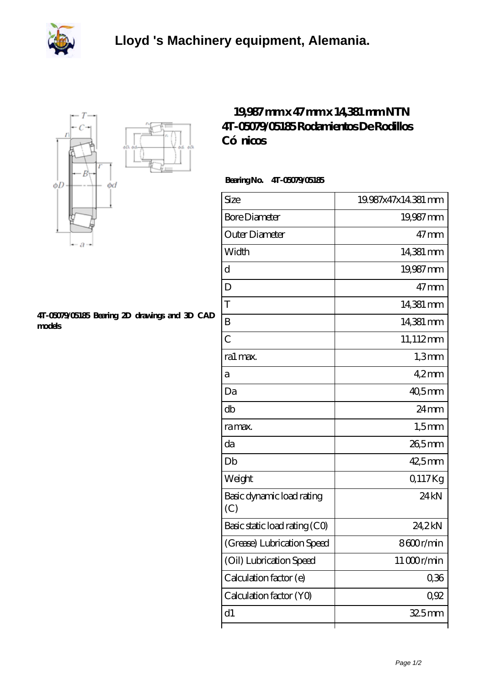



## **[4T-05079/05185 Bearing 2D drawings and 3D CAD](https://qrxqc.com/pic-119309.html) [models](https://qrxqc.com/pic-119309.html)**

## **[19,987 mm x 47 mm x 14,381 mm NTN](https://qrxqc.com/ar-119309-ntn-4t-05079-05185-rodamientos-de-rodillos-c-nicos.html) [4T-05079/05185 Rodamientos De Rodillos](https://qrxqc.com/ar-119309-ntn-4t-05079-05185-rodamientos-de-rodillos-c-nicos.html)** Có nicos

 **Bearing No. 4T-05079/05185**

| Size                             | 19.987x47x14.381 mm |
|----------------------------------|---------------------|
| <b>Bore Diameter</b>             | 19,987 mm           |
| Outer Diameter                   | $47 \,\mathrm{mm}$  |
| Width                            | 14,381 mm           |
| d                                | 19,987mm            |
| D                                | $47$ mm             |
| T                                | 14,381 mm           |
| B                                | 14,381 mm           |
| $\overline{C}$                   | 11,112mm            |
| ra1 max.                         | 1,3mm               |
| а                                | $42$ mm             |
| Da                               | $405$ <sub>mm</sub> |
| db                               | 24 <sub>mm</sub>    |
| ra max.                          | $1,5$ mm            |
| da                               | 26,5mm              |
| Db                               | 42,5mm              |
| Weight                           | Q117Kg              |
| Basic dynamic load rating<br>(C) | 24 <sub>kN</sub>    |
| Basic static load rating (CO)    | 24,2kN              |
| (Grease) Lubrication Speed       | 8600r/min           |
| (Oil) Lubrication Speed          | 11000r/min          |
| Calculation factor (e)           | 0,36                |
| Calculation factor (YO)          | 0.92                |
| d1                               | $325$ mm            |
|                                  |                     |